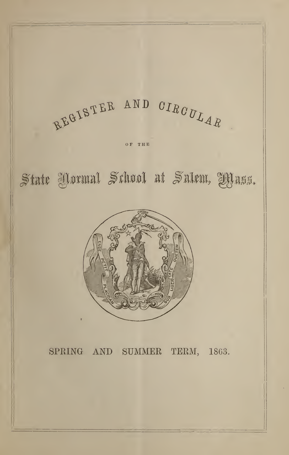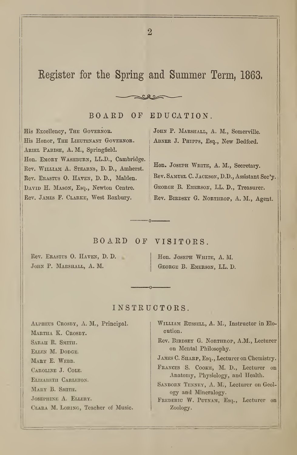## Register for the Spring and Summer Term, 1863.

#### BOARD OF EDUCATION.

 $CQ2$ 

His Excellency, THE GOVERNOR. His Honor, THE LIEUTENANT GOVERNOR. ARIEL PARISH, A. M., Springfield. Hon. EMORY WASHBURN, LL.D., Cambridge. Rev. William A. Stearns, D. D., Amherst. Eev. Erastus O. Haven, D. D., Maiden. DAVID H. MASON, Esq., Newton Centre. Rev. James F. Clarke, West Roxbury.

JOHN P. MARSHALL, A. M., Somerville. ABNER J. PHIPPS, Esq., New Bedford.

Hon. JOSEPH WHITE, A. M., Secretary. Rev. SAMUEL C. JACKSON, D.D., Assistant Sec'y. GEORGE B. EMERSON, LL. D., Treasurer. Rev. BiRDSEY G. Northrop, A. M., Agent.

BOARD OF VISITORS.

 $\Omega$ 

Rev. Erastus O. HAVEN, D. D. JOHN P. MARSHALL, A. M.

Hon. Joseph White, A. M. George B. Emerson, LL. D.

#### INSTRUCTORS

Alpheus Crosby, A. M., Principal. Martha K. Crosby. SARAH R. SMITH. Ellen M. Dodge. MARY E. WEBB. Caroline J. Cole. Elizabeth Carleton. Mary B. Smith. Josephine A. Ellery. CLARA M. LORING, Teacher of Music. William Russell, A. M., Instructor in Elocution. Rev. Birdsey G. Northrop, A.M., Lecturer on Mental Philosophy.

JAMES C. SHARP, Esq., Lecturer on Chemistry.

Frances S. Cooke, M. D., Lecturer on Anatomy, Physiology, and Health.

SANBORN TENNEY, A. M., Lecturer on Geology and Mineralogy.

FREDERIC W. PUTNAM, Esq., Lecturer on Zoology.

 $\overline{2}$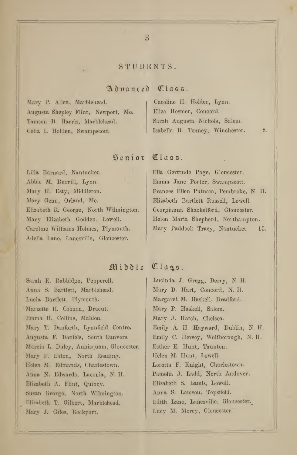#### STUDENTS.

#### Advanced Class.

Mary P. Allen, Marblehead. Augusta Shepley Flint, Newport, Me. Tamson B. Harris, Marblehead. Celia I. Holden, Swampscott.

## Caroline II. Holder, Lynn. Eliza Hosmer, Concord. Sarah Augusta Nichols, Salem. Isabella B. Tenney, Winchester. 8.

## Senior Class.

 Lilla Barnard, Nantucket. Abbio M. Burrill, Lynn. Mary II. Esty, Middleton. Mary Genn, Orland, Me. Elizabeth R. George, North Wilmington. Mary Elizabeth Godden, Lowell. Caroline Williams Holmes, Plymouth. Adelia Lane, Lanesville, Gloucester.

## Ella Gertrude Page, Gloucester. Emma Jane Porter, Swampscott. Frances Ellen Putnam, Pembroke, N. II. Elizabeth Bartlett Russell, Lowell. Georgianna Shackelford, Gloucester. Helen Maria Shepherd, Northampton. Mary Paddock Tracy, Nantucket. 15.

## Middle Class.

Sarah E. Babbidge, Pepperell. Anna S. Bartlett, Marblehead. Lucia Bartlett, Plymouth. Marzette II. Cobum, Dracut. Emma H. Collins, Maiden. Mary T. Danforth, Lynnfield Centre. Augusta F. Daniels, South Danvers. Marcia L. Duley, Annisquam, Gloucester. Mary F. Eaton, North Reading. Helen M. Edmands, Charlestown. Anna N. Edwards, Laconia, N. H. Elizabeth A. Flint, Quincy. Susan George, North Wilmington. Elizabeth T. Gilbert, Marblehead. Mary J. Giles, Rockport.

Lucinda J. Gregg, Derry, N. H. Mary D. Hart, Concord, N. H. Margaret M. Haskell, Bradford. Mary P. Haskell, Salem. Mary J. Hatch, Chelsea. Emily A. II. Hayward, Dublin, N. II. Emily C. Ilersey, Wolfborough, N. H. Esther E. Hunt, Taunton. Helen M. Hunt, Lowell. Loretta F. Knight, Charlestown. Pamelia J. Ladd, North Andover. Elizabeth S. Lamb, Lowell. Anna S. Lamson, Topsficld. Edith Lane, Lanesville, Gloucester.^ Lucy M. Morey, Gloucester.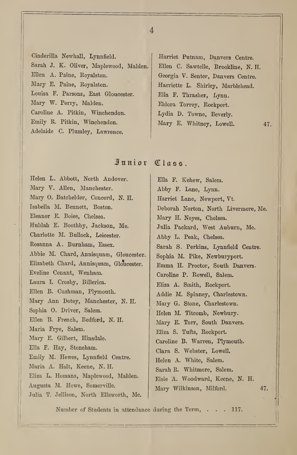Cinderilla Newhall, Lynnfield. Sarah J. K. Oliver, Maplewood, Maiden. Ellen A. Paine, Royalston. Mary E. Paine, Royalston. Louisa F. Parsons, East Gloucester. Mary W. Perry, Maiden. Caroline A. Pitkin, Winchendon. Emily R. Pitkin, Winchendon. Adelaide C. Plumley, Lawrence.

Harriet Putnam, Danvers Centre. Ellen C. Sawtelle, Brookline, N. H. Georgia V. Senter, Danvers Centre. Harriette L. Shirley, Marblehead. Ella F. Thrasher, Lynn. Eldora Torrey, Rockport. Lydia D. Towne, Beverly. Mary E. Whitney, Lowell. 47.

## Mnniox Class.

Helen L. Abbott, North Andover. Mary V. Allen, Manchester. Mary 0. Batchelder, Concord, N. H. Isabella M. Bennett, Boston. Eleanor E. Boies, Chelsea. Huldah E. Boothby, Jackson, Me. Charlotte M. Bullock, Leicester. Rosanna A. Burnham, Essex. Abbie M. Chard, Annisquam, Gloucester. Elizabeth Chard, Annisquam, Gloucester. Eveline Conant, Wenham. Laura L Crosby, Billerica. Ellen B. Cushman, Plymouth. Mary Ann Dotey, Manchester, N. H. Sophia 0. Driver, Salem. Ellen B. French, Bedford, N. H. Maria Frye, Salem. Mary E. Gilbert, Hinsdale. Ella F. Hay, Stoneham. Emily M. Hewes, Lynnfield Centre. Maria A. Holt, Keene, N. H. Eliza L. Homans, Maplewood, Maiden. Augusta M. Howe, Somerville. Julia T. Jellison, North Ellsworth, Me. Ella F. Kehew, Salem. Abby F. Lane, Lynn. Harriet Lane, Newport, Vt. Deborah Norton, North Livermore, Me. Mary H. Noyes, Chelsea. Julia Packard, West Auburn, Me. Abby L. Peak, Chelsea. Sarah S. Perkins, Lynnfield Centre. Sophia M. Pike, Newburyport. Emma H. Proctor, South Danvers. Caroline P. Rowell, Salem. Eliza A. Smith, Rockport. Addie M. Spinney, Charlestown. Mary G. Stone, Charlestown. Helen M. Titcomb, Newbury. Mary E. Torr, South Danvers. Eliza S. Tufts, Rockport. Caroline B. Warren, Plymouth. Clara S. Webster, Lowell. Helen A. White, Salem. Sarah R. Whitmore, Salem. Elsie A. Woodward, Keene, N. H. Mary Wilkinson, Milford. 47.

Number of Students in attendance during the Term,  $\ldots$  117.

 $\overline{4}$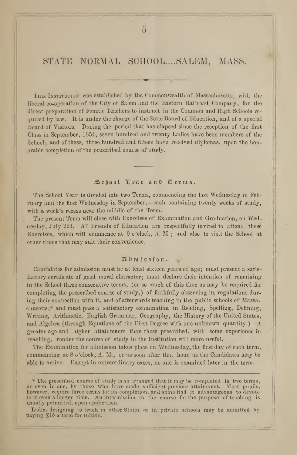STATE NORMAL SCHOOL....SALEM, MASS.

This Institution was established by the Commonwealth of Massachusetts, with the liberal co-operation of the City of Salem and the Eastern Railroad Company, for the direct preparation of Female Teachers to instruct in the Common and High Schools re quired by law. It is under the charge of the State Board of Education, and of a special Board of Visitors. During the period that has elapsed since the reception of the first Class in September, 1854, seven hundred and twenty Ladies have been members of the School; and of these, three hundred and fifteen have received diplomas, upon the honorable completion of the prescribed course of study.

#### School Year and Terms.

The School Year is divided into two Terms, commencing the last Wednesday in February and the first Wednesday in September,—each containing twenty weeks of study, with a week's recess near the middle of the Term.

The present Term will close with Exercises of Examination and Graduation, on Wednesday, July 22d. All Friends of Education are respectfully invited to attend these Exercises, which will commence at 9 o'clock, A. M. ; and also to visit the School at other times that may suit their convenience.

#### $\mathfrak{A}$  d  $\mathfrak{m}$  is  $s$  io  $\mathfrak{n}$ .

Candidates for admission must be at least sixteen years of age ; must present a satis factory certificate of good moral character; must declare their intention of remaining in the School three consecutive terms, (or so much of this time as may be required for completing the prescribed course of study,) of faithfully observing its regulations during their connection with it, and of afterwards teaching in the public schools of Massachusetts;\* and must pass a satisfactory examination in Reading, Spelling, Defining, Writing, Arithmetic, English Grammar, Geography, the History of the United States, and Algebra (through Equations of the First Degree with one unknown quantity.)  $\Lambda$ greater age and higher attainments than those prescribed, with some experience in teaching, render the course of study in the Institution still more useful.

The Examination for admission takes place on Wednesday, the first day of each term, commencing at 8 o'clock, A. M., or as soon after that hour as the Candidates may be able to arrive. Except in extraordinary cases, no one is examined later in the term.

Ladies designing to teach in other States or in private schools may be admitted by paying ^15 a term for tuition.

<sup>\*</sup> The prescribed course of study is so arranged that it may be completed in two terms, or even in one, by those who have made sufficient previous attainment. Most pupils, however, require three terms for its completion, and some find it advantageous to devote to it even <sup>a</sup> longer time. An intermission in the course fur the purpose of teaching is usually permitted, upon application.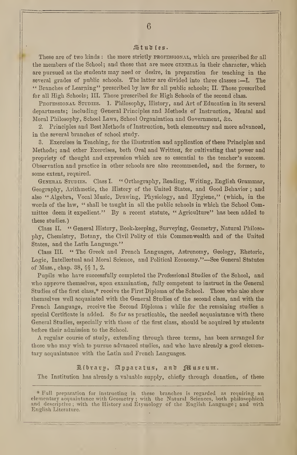#### Studies.

These are of two kinds: the more strictly professional, which are prescribed for all the members of the School; and those that are more GENERAL in their character, which are pursued as the students may need or desire, in preparation for teaching in the several grades of public schools. The latter are divided into three classes  $:-I$ . The " Branches of Learning" prescribed by law for all public schools; II. Those prescribed for all High Schools; III. Those prescribed for High Schools of the second class.

PROFESSIONAL STUDIES. 1. Philosophy, History, and Art of Education in its several departments; including General Principles and Methods of Instruction, Mental and Moral Philosophy, School Laws, School Organization and Government, &c.

2. Principles and Best Methods of Instruction, both elementary and more advanced, in the several branches of school study.

3. Exercises in Teaching, for the illustration and application of these Principles and Methods; and other Exercises, both Oral and Written, for cultivating that power and propriety of thought and expression which are so essential to the teacher's success. Observation and practice in other schools are also recommended, and the former, to some extent, required.

General Studies. Class I. " Orthography, Reading, Writing, English Grammar, Geography, Arithmetic, the History of the United States, and Good Behavior ; and also "Algebra, Vocal Music, Drawing, Physiology, and Hygiene," (which, in the words of the law, " shall be taught in all the public schools in which the School Committee deem it expedient." By a recent statute, "Agriculture" has been added to these studies.)

Class II. " General History, Book-keeping, Surveying, Geometry, Natural Philosophy, Chemistry, Botany, the Civil Polity of this Commonwealth and of the United States, and the Latin Language."

Class III. " The Greek and French Languages, Astronomy, Geology, Rhetoric, Logic, Intellectual and Moral Science, and Political Economy."—See General Statutes of Mass., chap. 38, §§ 1, 2.

Pupils who have successfully completed the Professional Studies of the School, and who approve themselves, upon examination, fully competent to instruct in the General Studies of the first class,\* receive the First Diploma of the School. Those who also show themselves well acquainted with the General Studies of the second class, and with the French Language, receive the Second Diploma ; while for the remaining studies a special Certificate is added. So far as practicable, the needed acquaintance with these General Studies, especially with those of the first class, should be acquired by students before their admission to the School.

A regular course of study, extending through three terms, has been arranged for those who may wish to pursue advanced studies, and who have already a good elementary acquaintance with the Latin and French Languages.

#### $E$ ibrary, Apparatus, and  $E$ useum.

The Institution has already a valuable supply, chiefly through donation, of these

<sup>\*</sup> Full preparation for instructing in these branches is regarded as requiring an elementary acquaintance with Geometry ; with the Natural Sciences, both philosophical and descriptive ; with the History and Etymology of the English Language ; and with English Literature.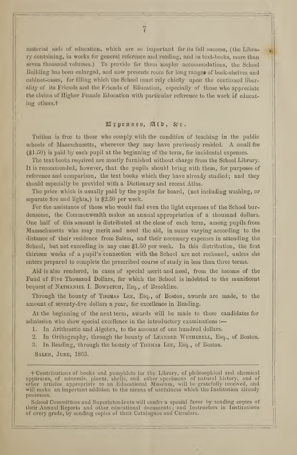material aids of education, which are so important for its full success, (the Library containing, in works for general reference and reading, and in text-books, more than seven thousand volumes.) To provide for them ampler accommodations, the School Building has been enlarged, and now presents room for long rangeg of book-shelves and cabinet-cases, for filling which the School must rely chiefly upon the continued liberality of its Friends and the Friends of Education, especially of those who appreciate the claims of Higher Female Education with particular reference to the work of educating others.<sup>†</sup>

#### 2H);penses, Slfti, U <sup>c</sup>

Tuition is free to those who comply with the condition of teaching in the public schools of Massachusetts, wherever they may have previously resided. A small fee (\$1.50) is paid by each pupil at the beginning of the term, for incidental expenses.

The text books required are mostly furnished without charge from the School Library. It is recommended, however, that the pupils should bring with them, for purposes of reference and comparison, the text books which they have already studied; and they should especially be provided with a Dictionary and recent Atlas.

The price which is usually paid by the pupils for board, (not including washing, or separate fire and lights,) is \$2.50 per week.

For the assistance of those who would find even the light expenses of the School burdensome, the Commonwealth makes an annual appropriation of a thousand dollars. One half of this amount is distributed at the close of each term, among pupils from Massachusetts who may merit and need the aid, in sums varying according to the distance of their residence from Salem, and their necessary expenses in attending the School, but not exceeding in any case \$1.50 per week. In this distribution, the first thirteen weeks of a pupil's connection with the School are not reckoned, unless she enters prepared to complete the prescribed course of study in less than three terms.

Aid is also rendered, in cases of special merit and need, from the income of the Fund of Five Thousand Dollars, for which the School is indebted to the munificent bequest of NATHANIEL I. BOWDITCH, Esq., of Brookline.

Through the bounty of Tuomas Lee, Esq., of Boston, awards arc made, to the amount of seventy-five dollars a year, for excellence in Reading.

At the beginning of the next term, awards will be made to those candidates for admission who show special excellence in the introductory examinations :

1. In Arithmetic and Algebra, to the amount of one hundred dollars.

2. In Orthography, through the bounty of LEANDER WETHERELL, Esq., of Boston.

3. In Reading, through the bounty of Thomas Lee, Esq., of Boston.

Salem, June, 1863.

f Contributions of books and pamphlets for the Library, of philosophical and chemical apparatus, of minerals, plants, shells, and other specimens of natural history, and of other articles appropriate to an Educational Museum, will be gratefully received, and will make an important addition to the means of usefulness which the Institution already possesses.

School Committees and Superintendents will confer a special favor by sending copies of their Annual Reports and other educational documents ; and Instructors in Institutions of every grade, by sending copies of their Catalogues and Circulars.

 $\overline{7}$